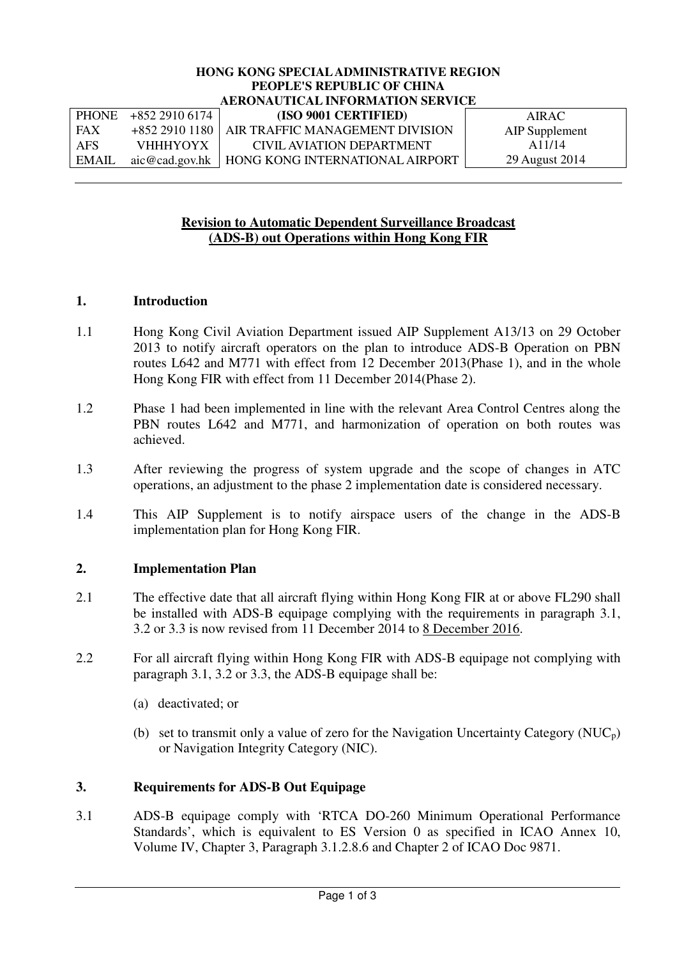| <b>HONG KONG SPECIAL ADMINISTRATIVE REGION</b> |                 |                                 |                       |
|------------------------------------------------|-----------------|---------------------------------|-----------------------|
| PEOPLE'S REPUBLIC OF CHINA                     |                 |                                 |                       |
| <b>AERONAUTICAL INFORMATION SERVICE</b>        |                 |                                 |                       |
| <b>PHONE</b>                                   | +852 2910 6174  | (ISO 9001 CERTIFIED)            | AIRAC                 |
| <b>FAX</b>                                     | +852 2910 1180  | AIR TRAFFIC MANAGEMENT DIVISION | <b>AIP Supplement</b> |
| <b>AFS</b>                                     | <b>VHHHYOYX</b> | CIVIL AVIATION DEPARTMENT       | A11/14                |
| <b>EMAIL</b>                                   | aic@cad.gov.hk  | HONG KONG INTERNATIONAL AIRPORT | 29 August 2014        |
|                                                |                 |                                 |                       |

### **Revision to Automatic Dependent Surveillance Broadcast (ADS-B) out Operations within Hong Kong FIR**

#### **1. Introduction**

- 1.1 Hong Kong Civil Aviation Department issued AIP Supplement A13/13 on 29 October 2013 to notify aircraft operators on the plan to introduce ADS-B Operation on PBN routes L642 and M771 with effect from 12 December 2013(Phase 1), and in the whole Hong Kong FIR with effect from 11 December 2014(Phase 2).
- 1.2 Phase 1 had been implemented in line with the relevant Area Control Centres along the PBN routes L642 and M771, and harmonization of operation on both routes was achieved.
- 1.3 After reviewing the progress of system upgrade and the scope of changes in ATC operations, an adjustment to the phase 2 implementation date is considered necessary.
- 1.4 This AIP Supplement is to notify airspace users of the change in the ADS-B implementation plan for Hong Kong FIR.

#### **2. Implementation Plan**

- 2.1 The effective date that all aircraft flying within Hong Kong FIR at or above FL290 shall be installed with ADS-B equipage complying with the requirements in paragraph 3.1, 3.2 or 3.3 is now revised from 11 December 2014 to 8 December 2016.
- 2.2 For all aircraft flying within Hong Kong FIR with ADS-B equipage not complying with paragraph 3.1, 3.2 or 3.3, the ADS-B equipage shall be:
	- (a) deactivated; or
	- (b) set to transmit only a value of zero for the Navigation Uncertainty Category (NUC<sub>p</sub>) or Navigation Integrity Category (NIC).

### **3. Requirements for ADS-B Out Equipage**

3.1 ADS-B equipage comply with 'RTCA DO-260 Minimum Operational Performance Standards', which is equivalent to ES Version 0 as specified in ICAO Annex 10, Volume IV, Chapter 3, Paragraph 3.1.2.8.6 and Chapter 2 of ICAO Doc 9871.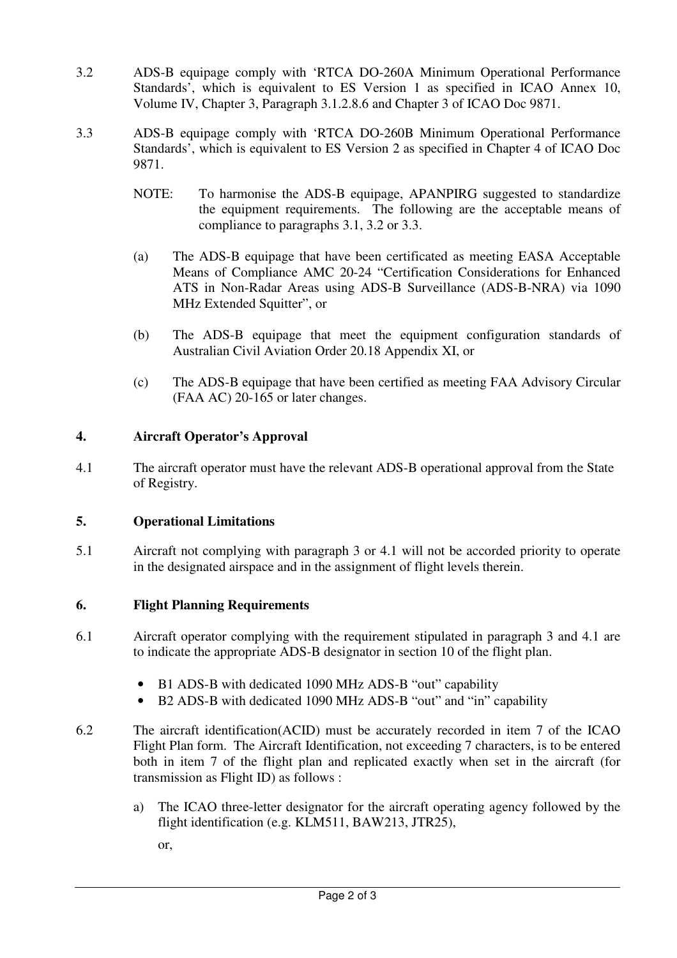- 3.2 ADS-B equipage comply with 'RTCA DO-260A Minimum Operational Performance Standards', which is equivalent to ES Version 1 as specified in ICAO Annex 10, Volume IV, Chapter 3, Paragraph 3.1.2.8.6 and Chapter 3 of ICAO Doc 9871.
- 3.3 ADS-B equipage comply with 'RTCA DO-260B Minimum Operational Performance Standards', which is equivalent to ES Version 2 as specified in Chapter 4 of ICAO Doc 9871.
	- NOTE: To harmonise the ADS-B equipage, APANPIRG suggested to standardize the equipment requirements. The following are the acceptable means of compliance to paragraphs 3.1, 3.2 or 3.3.
	- (a) The ADS-B equipage that have been certificated as meeting EASA Acceptable Means of Compliance AMC 20-24 "Certification Considerations for Enhanced ATS in Non-Radar Areas using ADS-B Surveillance (ADS-B-NRA) via 1090 MHz Extended Squitter", or
	- (b) The ADS-B equipage that meet the equipment configuration standards of Australian Civil Aviation Order 20.18 Appendix XI, or
	- (c) The ADS-B equipage that have been certified as meeting FAA Advisory Circular (FAA AC) 20-165 or later changes.

# **4. Aircraft Operator's Approval**

4.1 The aircraft operator must have the relevant ADS-B operational approval from the State of Registry.

# **5. Operational Limitations**

5.1 Aircraft not complying with paragraph 3 or 4.1 will not be accorded priority to operate in the designated airspace and in the assignment of flight levels therein.

# **6. Flight Planning Requirements**

- 6.1 Aircraft operator complying with the requirement stipulated in paragraph 3 and 4.1 are to indicate the appropriate ADS-B designator in section 10 of the flight plan.
	- B1 ADS-B with dedicated 1090 MHz ADS-B "out" capability
	- B2 ADS-B with dedicated 1090 MHz ADS-B "out" and "in" capability
- 6.2 The aircraft identification(ACID) must be accurately recorded in item 7 of the ICAO Flight Plan form. The Aircraft Identification, not exceeding 7 characters, is to be entered both in item 7 of the flight plan and replicated exactly when set in the aircraft (for transmission as Flight ID) as follows :
	- a) The ICAO three-letter designator for the aircraft operating agency followed by the flight identification (e.g. KLM511, BAW213, JTR25),

or,